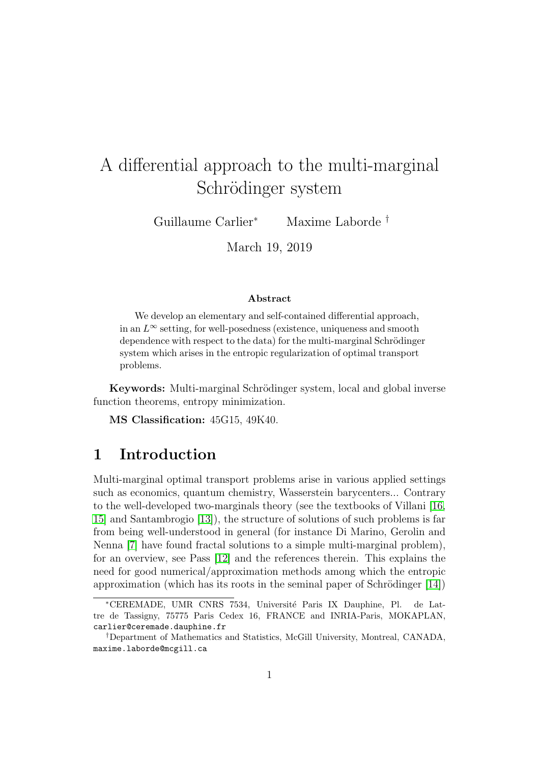# A differential approach to the multi-marginal Schrödinger system

Guillaume Carlier<sup>∗</sup> Maxime Laborde †

March 19, 2019

#### Abstract

We develop an elementary and self-contained differential approach, in an  $L^{\infty}$  setting, for well-posedness (existence, uniqueness and smooth dependence with respect to the data) for the multi-marginal Schrödinger system which arises in the entropic regularization of optimal transport problems.

Keywords: Multi-marginal Schrödinger system, local and global inverse function theorems, entropy minimization.

MS Classification: 45G15, 49K40.

### 1 Introduction

Multi-marginal optimal transport problems arise in various applied settings such as economics, quantum chemistry, Wasserstein barycenters... Contrary to the well-developed two-marginals theory (see the textbooks of Villani [\[16,](#page-12-0) [15\]](#page-12-1) and Santambrogio [\[13\]](#page-11-0)), the structure of solutions of such problems is far from being well-understood in general (for instance Di Marino, Gerolin and Nenna [\[7\]](#page-11-1) have found fractal solutions to a simple multi-marginal problem), for an overview, see Pass [\[12\]](#page-11-2) and the references therein. This explains the need for good numerical/approximation methods among which the entropic approximation (which has its roots in the seminal paper of Schrödinger  $[14]$ )

<sup>∗</sup>CEREMADE, UMR CNRS 7534, Universit´e Paris IX Dauphine, Pl. de Lattre de Tassigny, 75775 Paris Cedex 16, FRANCE and INRIA-Paris, MOKAPLAN, carlier@ceremade.dauphine.fr

<sup>†</sup>Department of Mathematics and Statistics, McGill University, Montreal, CANADA, maxime.laborde@mcgill.ca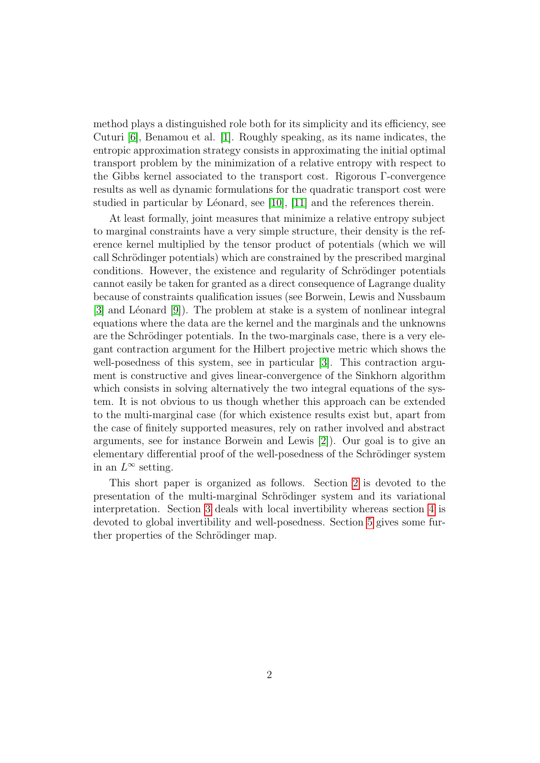method plays a distinguished role both for its simplicity and its efficiency, see Cuturi [\[6\]](#page-11-4), Benamou et al. [\[1\]](#page-10-0). Roughly speaking, as its name indicates, the entropic approximation strategy consists in approximating the initial optimal transport problem by the minimization of a relative entropy with respect to the Gibbs kernel associated to the transport cost. Rigorous Γ-convergence results as well as dynamic formulations for the quadratic transport cost were studied in particular by Léonard, see  $[10]$ ,  $[11]$  and the references therein.

At least formally, joint measures that minimize a relative entropy subject to marginal constraints have a very simple structure, their density is the reference kernel multiplied by the tensor product of potentials (which we will call Schrödinger potentials) which are constrained by the prescribed marginal conditions. However, the existence and regularity of Schrödinger potentials cannot easily be taken for granted as a direct consequence of Lagrange duality because of constraints qualification issues (see Borwein, Lewis and Nussbaum  $[3]$  and Léonard  $[9]$ . The problem at stake is a system of nonlinear integral equations where the data are the kernel and the marginals and the unknowns are the Schrödinger potentials. In the two-marginals case, there is a very elegant contraction argument for the Hilbert projective metric which shows the well-posedness of this system, see in particular [\[3\]](#page-10-1). This contraction argument is constructive and gives linear-convergence of the Sinkhorn algorithm which consists in solving alternatively the two integral equations of the system. It is not obvious to us though whether this approach can be extended to the multi-marginal case (for which existence results exist but, apart from the case of finitely supported measures, rely on rather involved and abstract arguments, see for instance Borwein and Lewis [\[2\]](#page-10-2)). Our goal is to give an elementary differential proof of the well-posedness of the Schrödinger system in an  $L^{\infty}$  setting.

This short paper is organized as follows. Section [2](#page-2-0) is devoted to the presentation of the multi-marginal Schrödinger system and its variational interpretation. Section [3](#page-3-0) deals with local invertibility whereas section [4](#page-7-0) is devoted to global invertibility and well-posedness. Section [5](#page-8-0) gives some further properties of the Schrödinger map.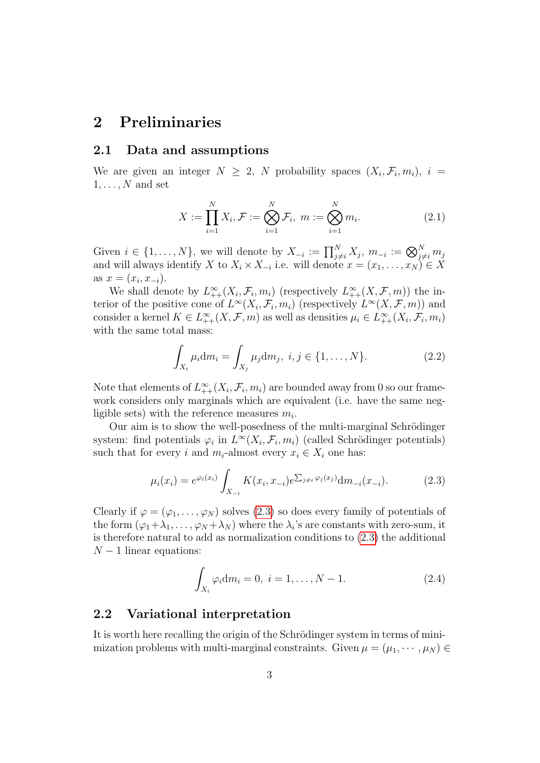## <span id="page-2-0"></span>2 Preliminaries

#### 2.1 Data and assumptions

We are given an integer  $N \geq 2$ , N probability spaces  $(X_i, \mathcal{F}_i, m_i)$ ,  $i =$  $1, \ldots, N$  and set

$$
X := \prod_{i=1}^{N} X_i, \mathcal{F} := \bigotimes_{i=1}^{N} \mathcal{F}_i, \ m := \bigotimes_{i=1}^{N} m_i.
$$
 (2.1)

Given  $i \in \{1, \ldots, N\}$ , we will denote by  $X_{-i} := \prod_{j \neq i}^N X_j$ ,  $m_{-i} := \bigotimes_{j \neq i}^N m_j$ and will always identify X to  $X_i \times X_{-i}$  i.e. will denote  $x = (x_1, \ldots, x_N) \in X$ as  $x = (x_i, x_{-i}).$ 

We shall denote by  $L_{++}^{\infty}(X_i,\mathcal{F}_i,m_i)$  (respectively  $L_{++}^{\infty}(X,\mathcal{F},m)$ ) the interior of the positive cone of  $L^{\infty}(X_i, \mathcal{F}_i, m_i)$  (respectively  $L^{\infty}(X, \mathcal{F}, m)$ ) and consider a kernel  $K \in L^{\infty}_{++}(X, \mathcal{F}, m)$  as well as densities  $\mu_i \in L^{\infty}_{++}(X_i, \mathcal{F}_i, m_i)$ with the same total mass:

<span id="page-2-2"></span>
$$
\int_{X_i} \mu_i \mathrm{d}m_i = \int_{X_j} \mu_j \mathrm{d}m_j, \ i, j \in \{1, ..., N\}. \tag{2.2}
$$

Note that elements of  $L^{\infty}_{++}(X_i, \mathcal{F}_i, m_i)$  are bounded away from 0 so our framework considers only marginals which are equivalent (i.e. have the same negligible sets) with the reference measures  $m_i$ .

Our aim is to show the well-posedness of the multi-marginal Schrödinger system: find potentials  $\varphi_i$  in  $L^\infty(X_i, \mathcal{F}_i, m_i)$  (called Schrödinger potentials) such that for every i and  $m_i$ -almost every  $x_i \in X_i$  one has:

<span id="page-2-1"></span>
$$
\mu_i(x_i) = e^{\varphi_i(x_i)} \int_{X_{-i}} K(x_i, x_{-i}) e^{\sum_{j \neq i} \varphi_j(x_j)} dm_{-i}(x_{-i}). \tag{2.3}
$$

Clearly if  $\varphi = (\varphi_1, \ldots, \varphi_N)$  solves [\(2.3\)](#page-2-1) so does every family of potentials of the form  $(\varphi_1 + \lambda_1, \ldots, \varphi_N + \lambda_N)$  where the  $\lambda_i$ 's are constants with zero-sum, it is therefore natural to add as normalization conditions to [\(2.3\)](#page-2-1) the additional  $N-1$  linear equations:

<span id="page-2-3"></span>
$$
\int_{X_i} \varphi_i \mathrm{d}m_i = 0, \ i = 1, \dots, N - 1. \tag{2.4}
$$

### 2.2 Variational interpretation

It is worth here recalling the origin of the Schrödinger system in terms of minimization problems with multi-marginal constraints. Given  $\mu = (\mu_1, \dots, \mu_N)$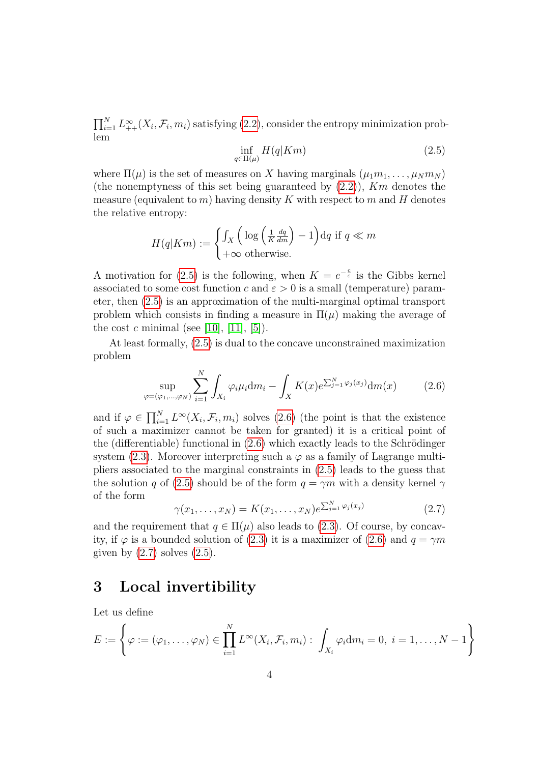$\prod_{i=1}^{N} L_{++}^{\infty}(X_i, \mathcal{F}_i, m_i)$  satisfying [\(2.2\)](#page-2-2), consider the entropy minimization problem

<span id="page-3-1"></span>
$$
\inf_{q \in \Pi(\mu)} H(q|Km) \tag{2.5}
$$

where  $\Pi(\mu)$  is the set of measures on X having marginals  $(\mu_1 m_1, \ldots, \mu_N m_N)$ (the nonemptyness of this set being guaranteed by  $(2.2)$ ), Km denotes the measure (equivalent to m) having density K with respect to m and H denotes the relative entropy:

$$
H(q|Km) := \begin{cases} \int_X \left( \log \left( \frac{1}{K} \frac{dq}{dm} \right) - 1 \right) dq \text{ if } q \ll m \\ +\infty \text{ otherwise.} \end{cases}
$$

A motivation for [\(2.5\)](#page-3-1) is the following, when  $K = e^{-\frac{c}{\varepsilon}}$  is the Gibbs kernel associated to some cost function c and  $\varepsilon > 0$  is a small (temperature) parameter, then [\(2.5\)](#page-3-1) is an approximation of the multi-marginal optimal transport problem which consists in finding a measure in  $\Pi(\mu)$  making the average of the cost c minimal (see [\[10\]](#page-11-5), [\[11\]](#page-11-6), [\[5\]](#page-11-8)).

At least formally, [\(2.5\)](#page-3-1) is dual to the concave unconstrained maximization problem

<span id="page-3-2"></span>
$$
\sup_{\varphi=(\varphi_1,\dots,\varphi_N)} \sum_{i=1}^N \int_{X_i} \varphi_i \mu_i \mathrm{d}m_i - \int_X K(x) e^{\sum_{j=1}^N \varphi_j(x_j)} \mathrm{d}m(x) \tag{2.6}
$$

and if  $\varphi \in \prod_{i=1}^N L^{\infty}(X_i, \mathcal{F}_i, m_i)$  solves [\(2.6\)](#page-3-2) (the point is that the existence of such a maximizer cannot be taken for granted) it is a critical point of the (differentiable) functional in  $(2.6)$  which exactly leads to the Schrödinger system [\(2.3\)](#page-2-1). Moreover interpreting such a  $\varphi$  as a family of Lagrange multipliers associated to the marginal constraints in [\(2.5\)](#page-3-1) leads to the guess that the solution q of [\(2.5\)](#page-3-1) should be of the form  $q = \gamma m$  with a density kernel  $\gamma$ of the form

<span id="page-3-3"></span>
$$
\gamma(x_1,\ldots,x_N) = K(x_1,\ldots,x_N)e^{\sum_{j=1}^N \varphi_j(x_j)}\tag{2.7}
$$

and the requirement that  $q \in \Pi(\mu)$  also leads to [\(2.3\)](#page-2-1). Of course, by concavity, if  $\varphi$  is a bounded solution of [\(2.3\)](#page-2-1) it is a maximizer of [\(2.6\)](#page-3-2) and  $q = \gamma m$ given by  $(2.7)$  solves  $(2.5)$ .

## <span id="page-3-0"></span>3 Local invertibility

Let us define

$$
E := \left\{ \varphi := (\varphi_1, \dots, \varphi_N) \in \prod_{i=1}^N L^{\infty}(X_i, \mathcal{F}_i, m_i) : \int_{X_i} \varphi_i \mathrm{d}m_i = 0, \ i = 1, \dots, N-1 \right\}
$$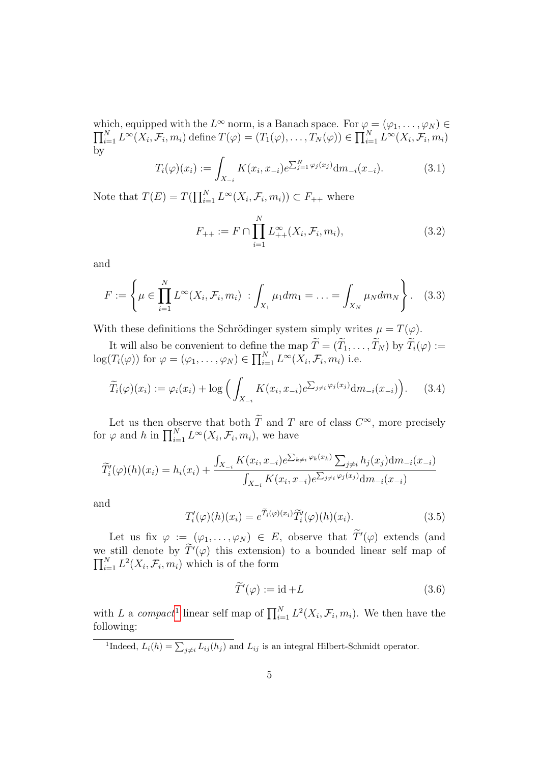which, equipped with the  $L^{\infty}$  $\Pi$ nich, equipped with the  $L^{\infty}$  norm, is a Banach space. For  $\varphi = (\varphi_1, \dots, \varphi_N) \in N$ <br> $\sum_{i=1}^N L^{\infty}(X_i, \mathcal{F}_i, m_i)$  define  $T(\varphi) = (T_1(\varphi), \dots, T_N(\varphi)) \in \prod_{i=1}^N L^{\infty}(X_i, \mathcal{F}_i, m_i)$ by

$$
T_i(\varphi)(x_i) := \int_{X_{-i}} K(x_i, x_{-i}) e^{\sum_{j=1}^N \varphi_j(x_j)} dm_{-i}(x_{-i}).
$$
\n(3.1)

Note that  $T(E) = T(\prod_{i=1}^{N} L^{\infty}(X_i, \mathcal{F}_i, m_i)) \subset F_{++}$  where

$$
F_{++} := F \cap \prod_{i=1}^{N} L_{++}^{\infty}(X_i, \mathcal{F}_i, m_i), \tag{3.2}
$$

and

$$
F := \left\{ \mu \in \prod_{i=1}^{N} L^{\infty}(X_i, \mathcal{F}_i, m_i) : \int_{X_1} \mu_1 dm_1 = \ldots = \int_{X_N} \mu_N dm_N \right\}.
$$
 (3.3)

With these definitions the Schrödinger system simply writes  $\mu = T(\varphi)$ .

It will also be convenient to define the map  $T = (T_1, \ldots, T_N)$  by  $T_i(\varphi) := (T_i(\cdot), \ldots, T_N)$  $log(T_i(\varphi))$  for  $\varphi = (\varphi_1, \ldots, \varphi_N) \in \prod_{i=1}^N L^{\infty}(X_i, \mathcal{F}_i, m_i)$  i.e.

$$
\widetilde{T}_i(\varphi)(x_i) := \varphi_i(x_i) + \log \Big( \int_{X_{-i}} K(x_i, x_{-i}) e^{\sum_{j \neq i} \varphi_j(x_j)} \mathrm{d}m_{-i}(x_{-i}) \Big). \tag{3.4}
$$

Let us then observe that both  $\overline{T}$  and  $T$  are of class  $C^{\infty}$ , more precisely for  $\varphi$  and h in  $\prod_{i=1}^{N} L^{\infty}(X_i, \mathcal{F}_i, m_i)$ , we have

$$
\widetilde{T}'_i(\varphi)(h)(x_i) = h_i(x_i) + \frac{\int_{X_{-i}} K(x_i, x_{-i}) e^{\sum_{k \neq i} \varphi_k(x_k)} \sum_{j \neq i} h_j(x_j) dm_{-i}(x_{-i})}{\int_{X_{-i}} K(x_i, x_{-i}) e^{\sum_{j \neq i} \varphi_j(x_j)} dm_{-i}(x_{-i})}
$$

and

<span id="page-4-1"></span>
$$
T'_{i}(\varphi)(h)(x_{i}) = e^{\widetilde{T}_{i}(\varphi)(x_{i})}\widetilde{T}'_{i}(\varphi)(h)(x_{i}). \qquad (3.5)
$$

Let us fix  $\varphi := (\varphi_1, \ldots, \varphi_N) \in E$ , observe that  $\widetilde{T}'(\varphi)$  extends (and we still denote by  $\tilde{T}'(\varphi)$  this extension) to a bounded linear self map of  $\prod_{i=1}^{N} L^2(X_i, \mathcal{F}_i, m_i)$  which is of the form

$$
\widetilde{T}'(\varphi) := \mathrm{id} + L \tag{3.6}
$$

with L a compact<sup>[1](#page-4-0)</sup> linear self map of  $\prod_{i=1}^{N} L^2(X_i, \mathcal{F}_i, m_i)$ . We then have the following:

<span id="page-4-0"></span><sup>1</sup>Indeed,  $L_i(h) = \sum_{j \neq i} L_{ij}(h_j)$  and  $L_{ij}$  is an integral Hilbert-Schmidt operator.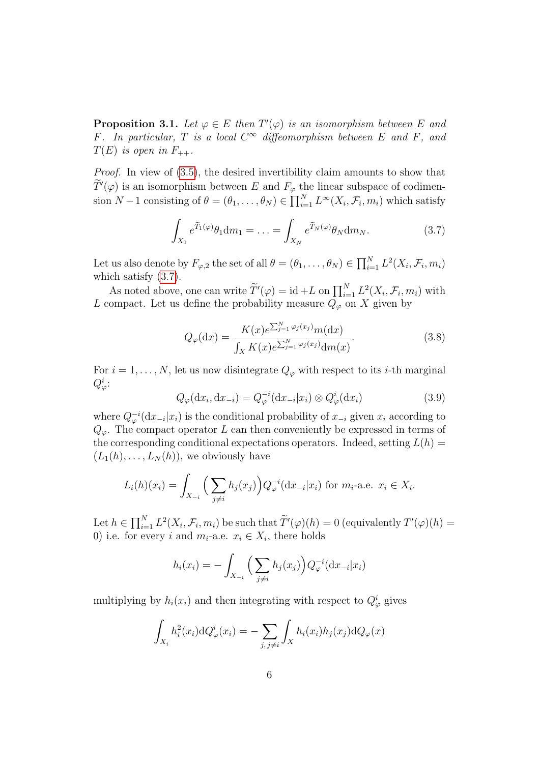<span id="page-5-1"></span>**Proposition 3.1.** Let  $\varphi \in E$  then  $T'(\varphi)$  is an isomorphism between E and F. In particular, T is a local  $C^{\infty}$  diffeomorphism between E and F, and  $T(E)$  is open in  $F_{++}$ .

Proof. In view of [\(3.5\)](#page-4-1), the desired invertibility claim amounts to show that  $T'(\varphi)$  is an isomorphism between E and  $F_{\varphi}$  the linear subspace of codimension  $N-1$  consisting of  $\theta = (\theta_1, \ldots, \theta_N) \in \prod_{i=1}^N L^{\infty}(X_i, \mathcal{F}_i, m_i)$  which satisfy

<span id="page-5-0"></span>
$$
\int_{X_1} e^{\widetilde{T}_1(\varphi)} \theta_1 \mathrm{d}m_1 = \dots = \int_{X_N} e^{\widetilde{T}_N(\varphi)} \theta_N \mathrm{d}m_N. \tag{3.7}
$$

Let us also denote by  $F_{\varphi,2}$  the set of all  $\theta = (\theta_1, \ldots, \theta_N) \in \prod_{i=1}^N L^2(X_i, \mathcal{F}_i, m_i)$ which satisfy [\(3.7\)](#page-5-0).

As noted above, one can write  $\widetilde{T}'(\varphi) = id + L$  on  $\prod_{i=1}^N L^2(X_i, \mathcal{F}_i, m_i)$  with L compact. Let us define the probability measure  $Q_{\varphi}$  on X given by

<span id="page-5-2"></span>
$$
Q_{\varphi}(\mathrm{d}x) = \frac{K(x)e^{\sum_{j=1}^{N} \varphi_{j}(x_{j})}m(\mathrm{d}x)}{\int_{X} K(x)e^{\sum_{j=1}^{N} \varphi_{j}(x_{j})} \mathrm{d}m(x)}.
$$
(3.8)

For  $i = 1, \ldots, N$ , let us now disintegrate  $Q_{\varphi}$  with respect to its *i*-th marginal  $Q^i_\varphi$ :

<span id="page-5-3"></span>
$$
Q_{\varphi}(\mathrm{d}x_i, \mathrm{d}x_{-i}) = Q_{\varphi}^{-i}(\mathrm{d}x_{-i}|x_i) \otimes Q_{\varphi}^i(\mathrm{d}x_i)
$$
\n(3.9)

where  $Q_{\varphi}^{-i}(\mathrm{d}x_{-i}|x_i)$  is the conditional probability of  $x_{-i}$  given  $x_i$  according to  $Q_{\varphi}$ . The compact operator L can then conveniently be expressed in terms of the corresponding conditional expectations operators. Indeed, setting  $L(h)$  =  $(L_1(h), \ldots, L_N(h))$ , we obviously have

$$
L_i(h)(x_i) = \int_{X_{-i}} \Big( \sum_{j \neq i} h_j(x_j) \Big) Q_{\varphi}^{-i}(\mathrm{d}x_{-i}|x_i) \text{ for } m_i\text{-a.e. } x_i \in X_i.
$$

Let  $h \in \prod_{i=1}^N L^2(X_i, \mathcal{F}_i, m_i)$  be such that  $\widetilde{T}'(\varphi)(h) = 0$  (equivalently  $T'(\varphi)(h) =$ 0) i.e. for every i and  $m_i$ -a.e.  $x_i \in X_i$ , there holds

$$
h_i(x_i) = -\int_{X_{-i}} \Big(\sum_{j \neq i} h_j(x_j)\Big) Q_{\varphi}^{-i}(\mathrm{d}x_{-i}|x_i)
$$

multiplying by  $h_i(x_i)$  and then integrating with respect to  $Q^i_{\varphi}$  gives

$$
\int_{X_i} h_i^2(x_i) \mathrm{d}Q_{\varphi}^i(x_i) = -\sum_{j,j \neq i} \int_X h_i(x_i) h_j(x_j) \mathrm{d}Q_{\varphi}(x)
$$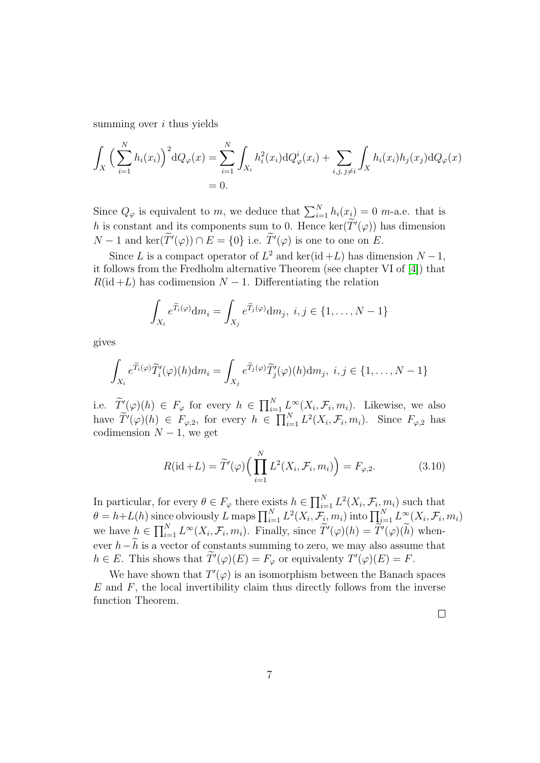summing over *i* thus yields

$$
\int_{X} \Big(\sum_{i=1}^{N} h_{i}(x_{i})\Big)^{2} dQ_{\varphi}(x) = \sum_{i=1}^{N} \int_{X_{i}} h_{i}^{2}(x_{i}) dQ_{\varphi}^{i}(x_{i}) + \sum_{i,j,j \neq i} \int_{X} h_{i}(x_{i}) h_{j}(x_{j}) dQ_{\varphi}(x) \n= 0.
$$

Since  $Q_{\varphi}$  is equivalent to m, we deduce that  $\sum_{i=1}^{N} h_i(x_i) = 0$  m-a.e. that is h is constant and its components sum to 0. Hence  $\ker(\widetilde{T}'(\varphi))$  has dimension  $N-1$  and  $\ker(T'(\varphi)) \cap E = \{0\}$  i.e.  $T'(\varphi)$  is one to one on E.

Since L is a compact operator of  $L^2$  and ker(id +L) has dimension  $N-1$ , it follows from the Fredholm alternative Theorem (see chapter VI of [\[4\]](#page-11-9)) that  $R(\text{id} + L)$  has codimension  $N - 1$ . Differentiating the relation

$$
\int_{X_i} e^{\widetilde{T}_i(\varphi)} \mathrm{d}m_i = \int_{X_j} e^{\widetilde{T}_j(\varphi)} \mathrm{d}m_j, \ i, j \in \{1, \dots, N-1\}
$$

gives

$$
\int_{X_i} e^{\widetilde{T}_i(\varphi)} \widetilde{T}'_i(\varphi)(h) \mathrm{d}m_i = \int_{X_j} e^{\widetilde{T}_j(\varphi)} \widetilde{T}'_j(\varphi)(h) \mathrm{d}m_j, \ i, j \in \{1, \dots, N-1\}
$$

i.e.  $\widetilde{T}'(\varphi)(h) \in F_{\varphi}$  for every  $h \in \prod_{i=1}^{N} L^{\infty}(X_i, \mathcal{F}_i, m_i)$ . Likewise, we also have  $\widetilde{T}'(\varphi)(h) \in F_{\varphi,2}$ , for every  $h \in \prod_{i=1}^N L^2(X_i, \mathcal{F}_i, m_i)$ . Since  $F_{\varphi,2}$  has codimension  $N-1$ , we get

$$
R(\mathrm{id} + L) = \widetilde{T}'(\varphi) \Big( \prod_{i=1}^{N} L^2(X_i, \mathcal{F}_i, m_i) \Big) = F_{\varphi, 2}.
$$
 (3.10)

In particular, for every  $\theta \in F_{\varphi}$  there exists  $h \in \prod_{i=1}^{N} L^2(X_i, \mathcal{F}_i, m_i)$  such that  $\theta = h + L(h)$  since obviously L maps  $\prod_{i=1}^{N} L^2(X_i, \mathcal{F}_i, m_i)$  into  $\prod_{i=1}^{N} L^{\infty}(X_i, \mathcal{F}_i, m_i)$ we have  $h \in \prod_{i=1}^N L^{\infty}(X_i, \mathcal{F}_i, m_i)$ . Finally, since  $\widetilde{T}'(\varphi)(h) = \widetilde{T}'(\varphi)(\widetilde{h})$  whenever  $h-\widetilde{h}$  is a vector of constants summing to zero, we may also assume that  $h \in E$ . This shows that  $\widetilde{T}'(\varphi)(E) = F_{\varphi}$  or equivalenty  $T'(\varphi)(E) = F$ .

We have shown that  $T'(\varphi)$  is an isomorphism between the Banach spaces  $E$  and  $F$ , the local invertibility claim thus directly follows from the inverse function Theorem.

 $\Box$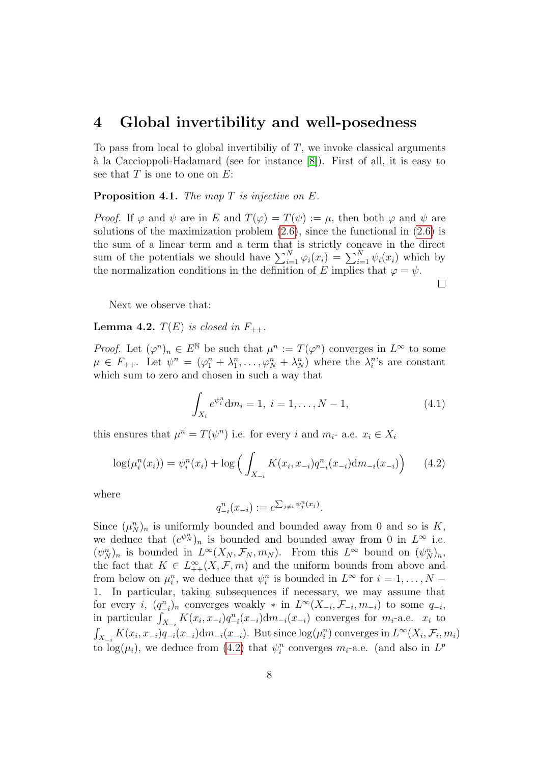### <span id="page-7-0"></span>4 Global invertibility and well-posedness

To pass from local to global invertibility of  $T$ , we invoke classical arguments  $\alpha$  la Caccioppoli-Hadamard (see for instance  $[8]$ ). First of all, it is easy to see that  $T$  is one to one on  $E$ :

<span id="page-7-3"></span>**Proposition 4.1.** The map  $T$  is injective on  $E$ .

*Proof.* If  $\varphi$  and  $\psi$  are in E and  $T(\varphi) = T(\psi) := \mu$ , then both  $\varphi$  and  $\psi$  are solutions of the maximization problem  $(2.6)$ , since the functional in  $(2.6)$  is the sum of a linear term and a term that is strictly concave in the direct sum of the potentials we should have  $\sum_{i=1}^{N} \varphi_i(x_i) = \sum_{i=1}^{N} \psi_i(x_i)$  which by the normalization conditions in the definition of E implies that  $\varphi = \psi$ .  $\Box$ 

Next we observe that:

<span id="page-7-2"></span>**Lemma 4.2.**  $T(E)$  is closed in  $F_{++}$ .

*Proof.* Let  $(\varphi^n)_n \in E^{\mathbb{N}}$  be such that  $\mu^n := T(\varphi^n)$  converges in  $L^{\infty}$  to some  $\mu \in F_{++}$ . Let  $\psi^n = (\varphi_1^n + \lambda_1^n, \ldots, \varphi_N^n + \lambda_N^n)$  where the  $\lambda_i^n$ 's are constant which sum to zero and chosen in such a way that

<span id="page-7-4"></span>
$$
\int_{X_i} e^{\psi_i^n} \mathrm{d}m_i = 1, \ i = 1, \dots, N - 1,\tag{4.1}
$$

this ensures that  $\mu^n = T(\psi^n)$  i.e. for every i and  $m_i$ - a.e.  $x_i \in X_i$ 

<span id="page-7-1"></span>
$$
\log(\mu_i^n(x_i)) = \psi_i^n(x_i) + \log\left(\int_{X_{-i}} K(x_i, x_{-i}) q_{-i}^n(x_{-i}) \mathrm{d}m_{-i}(x_{-i})\right) \tag{4.2}
$$

where

$$
q_{-i}^n(x_{-i}) := e^{\sum_{j\neq i} \psi_j^n(x_j)}.
$$

Since  $(\mu_N^n)_n$  is uniformly bounded and bounded away from 0 and so is K, we deduce that  $(e^{\psi_N^n})_n$  is bounded and bounded away from 0 in  $L^{\infty}$  i.e.  $(\psi_N^n)_n$  is bounded in  $L^\infty(X_N, \mathcal{F}_N, m_N)$ . From this  $L^\infty$  bound on  $(\psi_N^n)_n$ , the fact that  $K \in L^{\infty}_{++}(X, \mathcal{F}, m)$  and the uniform bounds from above and from below on  $\mu_i^n$ , we deduce that  $\psi_i^n$  is bounded in  $L^\infty$  for  $i = 1, \ldots, N - 1$ 1. In particular, taking subsequences if necessary, we may assume that for every *i*,  $(q_{-i}^n)_n$  converges weakly  $*$  in  $L^{\infty}(X_{-i}, \mathcal{F}_{-i}, m_{-i})$  to some  $q_{-i}$ , in particular  $\int_{X_{-i}} K(x_i, x_{-i}) q_{-i}^n(x_{-i}) dm_{-i}(x_{-i})$  converges for  $m_i$ -a.e.  $x_i$  to  $\int_{X_{-i}} K(x_i, x_{-i}) q_{-i}(x_{-i}) dm_{-i}(x_{-i})$ . But since  $\log(\mu_i^n)$  converges in  $L^\infty(X_i, \mathcal{F}_i, m_i)$ to  $log(\mu_i)$ , we deduce from [\(4.2\)](#page-7-1) that  $\psi_i^n$  converges  $m_i$ -a.e. (and also in  $L^p$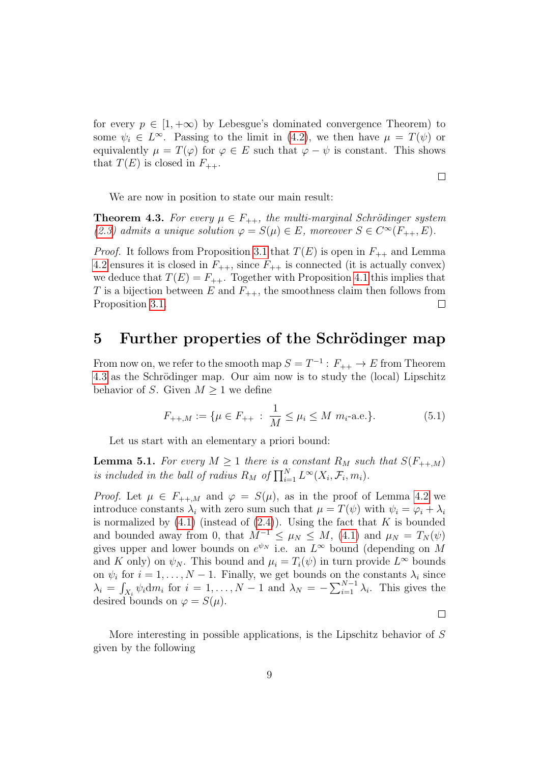for every  $p \in [1, +\infty)$  by Lebesgue's dominated convergence Theorem) to some  $\psi_i \in L^{\infty}$ . Passing to the limit in [\(4.2\)](#page-7-1), we then have  $\mu = T(\psi)$  or equivalently  $\mu = T(\varphi)$  for  $\varphi \in E$  such that  $\varphi - \psi$  is constant. This shows that  $T(E)$  is closed in  $F_{++}$ .

We are now in position to state our main result:

<span id="page-8-1"></span>**Theorem 4.3.** For every  $\mu \in F_{++}$ , the multi-marginal Schrödinger system [\(2.3\)](#page-2-1) admits a unique solution  $\varphi = S(\mu) \in E$ , moreover  $S \in C^{\infty}(F_{++}, E)$ .

*Proof.* It follows from Proposition [3.1](#page-5-1) that  $T(E)$  is open in  $F_{++}$  and Lemma [4.2](#page-7-2) ensures it is closed in  $F_{++}$ , since  $F_{++}$  is connected (it is actually convex) we deduce that  $T(E) = F_{++}$ . Together with Proposition [4.1](#page-7-3) this implies that T is a bijection between E and  $F_{++}$ , the smoothness claim then follows from Proposition [3.1.](#page-5-1)  $\Box$ 

### <span id="page-8-0"></span>5 Further properties of the Schrödinger map

From now on, we refer to the smooth map  $S = T^{-1} : F_{++} \to E$  from Theorem [4.3](#page-8-1) as the Schrödinger map. Our aim now is to study the (local) Lipschitz behavior of S. Given  $M \geq 1$  we define

$$
F_{++,M} := \{ \mu \in F_{++} : \frac{1}{M} \le \mu_i \le M \ m_i \text{-a.e.} \}. \tag{5.1}
$$

Let us start with an elementary a priori bound:

<span id="page-8-2"></span>**Lemma 5.1.** For every  $M \geq 1$  there is a constant  $R_M$  such that  $S(F_{++,M})$ is included in the ball of radius  $R_M$  of  $\prod_{i=1}^N L^{\infty}(X_i, \mathcal{F}_i, m_i)$ .

*Proof.* Let  $\mu \in F_{++,M}$  and  $\varphi = S(\mu)$ , as in the proof of Lemma [4.2](#page-7-2) we introduce constants  $\lambda_i$  with zero sum such that  $\mu = T(\psi)$  with  $\psi_i = \varphi_i + \lambda_i$ is normalized by  $(4.1)$  (instead of  $(2.4)$ ). Using the fact that K is bounded and bounded away from 0, that  $M^{-1} \leq \mu_N \leq M$ , [\(4.1\)](#page-7-4) and  $\mu_N = T_N(\psi)$ gives upper and lower bounds on  $e^{\psi_N}$  i.e. an  $L^{\infty}$  bound (depending on M and K only) on  $\psi_N$ . This bound and  $\mu_i = T_i(\psi)$  in turn provide  $L^{\infty}$  bounds on  $\psi_i$  for  $i = 1, ..., N - 1$ . Finally, we get bounds on the constants  $\lambda_i$  since  $\lambda_i = \int_{X_i} \psi_i \mathrm{d}m_i$  for  $i = 1, \ldots, N-1$  and  $\lambda_N = -\sum_{i=1}^{N-1} \lambda_i$ . This gives the desired bounds on  $\varphi = S(\mu)$ .

 $\Box$ 

 $\Box$ 

More interesting in possible applications, is the Lipschitz behavior of S given by the following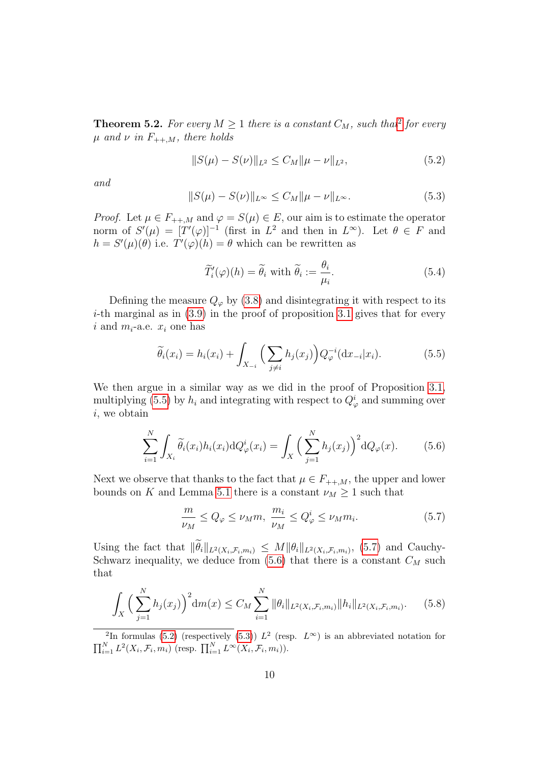**Theorem 5.[2](#page-9-0).** For every  $M \geq 1$  there is a constant  $C_M$ , such that<sup>2</sup> for every  $\mu$  and  $\nu$  in  $F_{++,M}$ , there holds

<span id="page-9-4"></span>
$$
||S(\mu) - S(\nu)||_{L^2} \le C_M ||\mu - \nu||_{L^2},
$$
\n(5.2)

and

<span id="page-9-5"></span>
$$
||S(\mu) - S(\nu)||_{L^{\infty}} \le C_M ||\mu - \nu||_{L^{\infty}}.
$$
\n(5.3)

*Proof.* Let  $\mu \in F_{++,M}$  and  $\varphi = S(\mu) \in E$ , our aim is to estimate the operator norm of  $S'(\mu) = [T'(\varphi)]^{-1}$  (first in  $L^2$  and then in  $L^{\infty}$ ). Let  $\theta \in F$  and  $h = S'(\mu)(\theta)$  i.e.  $T'(\varphi)(h) = \theta$  which can be rewritten as

$$
\widetilde{T}'_i(\varphi)(h) = \widetilde{\theta}_i \text{ with } \widetilde{\theta}_i := \frac{\theta_i}{\mu_i}.
$$
\n(5.4)

Defining the measure  $Q_{\varphi}$  by [\(3.8\)](#page-5-2) and disintegrating it with respect to its  $i$ -th marginal as in  $(3.9)$  in the proof of proposition [3.1](#page-5-1) gives that for every i and  $m_i$ -a.e.  $x_i$  one has

<span id="page-9-1"></span>
$$
\widetilde{\theta}_i(x_i) = h_i(x_i) + \int_{X_{-i}} \Big(\sum_{j \neq i} h_j(x_j)\Big) Q_{\varphi}^{-i}(\mathrm{d}x_{-i}|x_i). \tag{5.5}
$$

We then argue in a similar way as we did in the proof of Proposition [3.1,](#page-5-1) multiplying [\(5.5\)](#page-9-1) by  $h_i$  and integrating with respect to  $Q^i_{\varphi}$  and summing over i, we obtain

<span id="page-9-3"></span>
$$
\sum_{i=1}^{N} \int_{X_i} \widetilde{\theta}_i(x_i) h_i(x_i) \mathrm{d}Q_{\varphi}^i(x_i) = \int_X \Big(\sum_{j=1}^{N} h_j(x_j)\Big)^2 \mathrm{d}Q_{\varphi}(x). \tag{5.6}
$$

Next we observe that thanks to the fact that  $\mu \in F_{++,M}$ , the upper and lower bounds on K and Lemma [5.1](#page-8-2) there is a constant  $\nu_M \geq 1$  such that

<span id="page-9-2"></span>
$$
\frac{m}{\nu_M} \le Q_{\varphi} \le \nu_M m, \ \frac{m_i}{\nu_M} \le Q_{\varphi}^i \le \nu_M m_i. \tag{5.7}
$$

Using the fact that  $\|\theta_i\|_{L^2(X_i,\mathcal{F}_i,m_i)} \leq M \|\theta_i\|_{L^2(X_i,\mathcal{F}_i,m_i)}$ , [\(5.7\)](#page-9-2) and Cauchy-Schwarz inequality, we deduce from  $(5.6)$  that there is a constant  $C_M$  such that

$$
\int_{X} \Big(\sum_{j=1}^{N} h_j(x_j)\Big)^2 \mathrm{d}m(x) \le C_M \sum_{i=1}^{N} \|\theta_i\|_{L^2(X_i, \mathcal{F}_i, m_i)} \|h_i\|_{L^2(X_i, \mathcal{F}_i, m_i)}.
$$
 (5.8)

<span id="page-9-0"></span><sup>2</sup>In formulas [\(5.2\)](#page-9-4) (respectively [\(5.3\)](#page-9-5))  $L^2$  (resp.  $L^{\infty}$ ) is an abbreviated notation for  $\prod_{i=1}^N L^2(X_i, \mathcal{F}_i, m_i)$  (resp.  $\prod_{i=1}^N L^\infty(X_i, \mathcal{F}_i, m_i)$ ).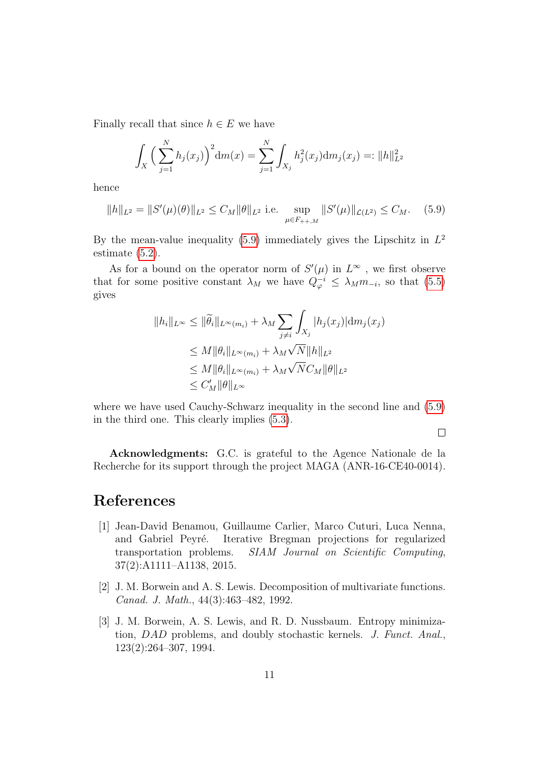Finally recall that since  $h \in E$  we have

$$
\int_X \Big(\sum_{j=1}^N h_j(x_j)\Big)^2 dm(x) = \sum_{j=1}^N \int_{X_j} h_j^2(x_j) dm_j(x_j) =: ||h||_{L^2}^2
$$

hence

<span id="page-10-3"></span>
$$
||h||_{L^{2}} = ||S'(\mu)(\theta)||_{L^{2}} \leq C_{M} ||\theta||_{L^{2}} \text{ i.e. } \sup_{\mu \in F_{++,M}} ||S'(\mu)||_{\mathcal{L}(L^{2})} \leq C_{M}. \quad (5.9)
$$

By the mean-value inequality [\(5.9\)](#page-10-3) immediately gives the Lipschitz in  $L^2$ estimate [\(5.2\)](#page-9-4).

As for a bound on the operator norm of  $S'(\mu)$  in  $L^{\infty}$ , we first observe that for some positive constant  $\lambda_M$  we have  $Q_{\varphi}^{-i} \leq \lambda_M m_{-i}$ , so that [\(5.5\)](#page-9-1) gives

$$
||h_i||_{L^{\infty}} \leq ||\widetilde{\theta}_i||_{L^{\infty}(m_i)} + \lambda_M \sum_{j \neq i} \int_{X_j} |h_j(x_j)| dm_j(x_j)
$$
  
\n
$$
\leq M ||\theta_i||_{L^{\infty}(m_i)} + \lambda_M \sqrt{N} ||h||_{L^2}
$$
  
\n
$$
\leq M ||\theta_i||_{L^{\infty}(m_i)} + \lambda_M \sqrt{N} C_M ||\theta||_{L^2}
$$
  
\n
$$
\leq C'_M ||\theta||_{L^{\infty}}
$$

where we have used Cauchy-Schwarz inequality in the second line and [\(5.9\)](#page-10-3) in the third one. This clearly implies [\(5.3\)](#page-9-5).

 $\Box$ 

Acknowledgments: G.C. is grateful to the Agence Nationale de la Recherche for its support through the project MAGA (ANR-16-CE40-0014).

### References

- <span id="page-10-0"></span>[1] Jean-David Benamou, Guillaume Carlier, Marco Cuturi, Luca Nenna, and Gabriel Peyré. Iterative Bregman projections for regularized transportation problems. SIAM Journal on Scientific Computing, 37(2):A1111–A1138, 2015.
- <span id="page-10-2"></span>[2] J. M. Borwein and A. S. Lewis. Decomposition of multivariate functions. Canad. J. Math., 44(3):463–482, 1992.
- <span id="page-10-1"></span>[3] J. M. Borwein, A. S. Lewis, and R. D. Nussbaum. Entropy minimization, DAD problems, and doubly stochastic kernels. J. Funct. Anal., 123(2):264–307, 1994.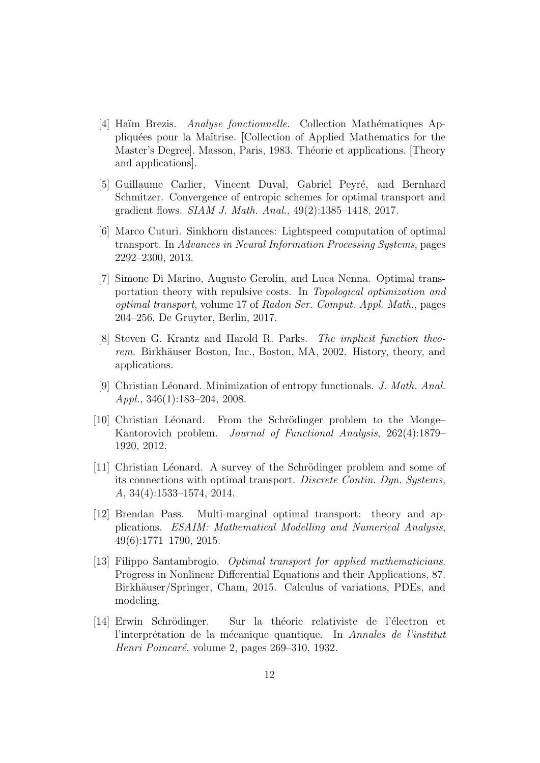- <span id="page-11-9"></span>[4] Haïm Brezis. *Analyse fonctionnelle*. Collection Mathématiques Appliqu´ees pour la Maˆıtrise. [Collection of Applied Mathematics for the Master's Degree]. Masson, Paris, 1983. Théorie et applications. [Theory and applications].
- <span id="page-11-8"></span>[5] Guillaume Carlier, Vincent Duval, Gabriel Peyré, and Bernhard Schmitzer. Convergence of entropic schemes for optimal transport and gradient flows. SIAM J. Math. Anal., 49(2):1385–1418, 2017.
- <span id="page-11-4"></span>[6] Marco Cuturi. Sinkhorn distances: Lightspeed computation of optimal transport. In Advances in Neural Information Processing Systems, pages 2292–2300, 2013.
- <span id="page-11-1"></span>[7] Simone Di Marino, Augusto Gerolin, and Luca Nenna. Optimal transportation theory with repulsive costs. In Topological optimization and optimal transport, volume 17 of Radon Ser. Comput. Appl. Math., pages 204–256. De Gruyter, Berlin, 2017.
- <span id="page-11-10"></span>[8] Steven G. Krantz and Harold R. Parks. The implicit function theorem. Birkhäuser Boston, Inc., Boston, MA, 2002. History, theory, and applications.
- <span id="page-11-7"></span>[9] Christian Léonard. Minimization of entropy functionals. J. Math. Anal. Appl., 346(1):183–204, 2008.
- <span id="page-11-5"></span>[10] Christian Léonard. From the Schrödinger problem to the Monge– Kantorovich problem. Journal of Functional Analysis, 262(4):1879– 1920, 2012.
- <span id="page-11-6"></span>[11] Christian Léonard. A survey of the Schrödinger problem and some of its connections with optimal transport. Discrete Contin. Dyn. Systems, A, 34(4):1533–1574, 2014.
- <span id="page-11-2"></span>[12] Brendan Pass. Multi-marginal optimal transport: theory and applications. ESAIM: Mathematical Modelling and Numerical Analysis, 49(6):1771–1790, 2015.
- <span id="page-11-0"></span>[13] Filippo Santambrogio. Optimal transport for applied mathematicians. Progress in Nonlinear Differential Equations and their Applications, 87. Birkhäuser/Springer, Cham, 2015. Calculus of variations, PDEs, and modeling.
- <span id="page-11-3"></span>[14] Erwin Schrödinger. Sur la théorie relativiste de l'électron et l'interprétation de la mécanique quantique. In Annales de l'institut Henri Poincaré, volume 2, pages 269–310, 1932.